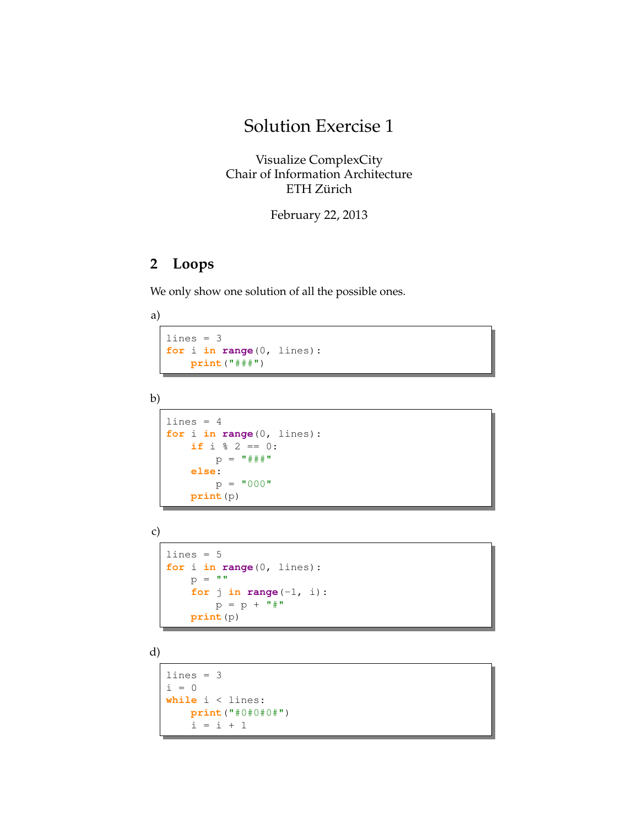## Solution Exercise 1

Visualize ComplexCity Chair of Information Architecture ETH Zürich

February 22, 2013

## **2 Loops**

We only show one solution of all the possible ones.

<span id="page-0-0"></span>a)

```
lines = 3
for i in range(0, lines):
   print("###")
```

```
b)
```

```
lines = 4for i in range(0, lines):
    if i % 2 == 0:
        p = " \# \# \# \#else:
        p = "000"print(p)
```

```
c)
```

```
lines = 5for i in range(0, lines):
   p = " "for j in range(-1, i):
       p = p + "print(p)
```
d)

```
lines = 3i = 0while i < lines:
   print("#0#0#0#")
   i = i + 1
```